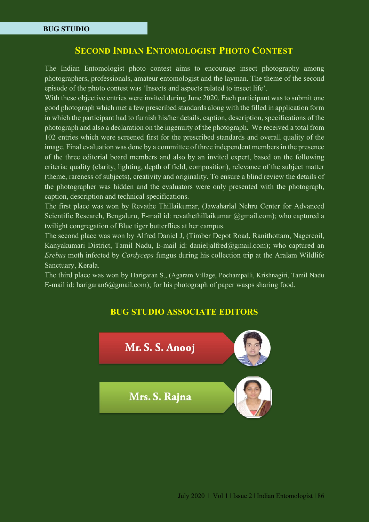## **SECOND INDIAN ENTOMOLOGIST PHOTO CONTEST**

The Indian Entomologist photo contest aims to encourage insect photography among photographers, professionals, amateur entomologist and the layman. The theme of the second episode of the photo contest was 'Insects and aspects related to insect life'.

With these objective entries were invited during June 2020. Each participant was to submit one good photograph which met a few prescribed standards along with the filled in application form in which the participant had to furnish his/her details, caption, description, specifications of the photograph and also a declaration on the ingenuity of the photograph. We received a total from 102 entries which were screened first for the prescribed standards and overall quality of the image. Final evaluation was done by a committee of three independent members in the presence of the three editorial board members and also by an invited expert, based on the following criteria: quality (clarity, lighting, depth of field, composition), relevance of the subject matter (theme, rareness of subjects), creativity and originality. To ensure a blind review the details of the photographer was hidden and the evaluators were only presented with the photograph, caption, description and technical specifications.

The first place was won by Revathe Thillaikumar, (Jawaharlal Nehru Center for Advanced Scientific Research, Bengaluru, E-mail id: revathethillaikumar @gmail.com); who captured a twilight congregation of Blue tiger butterflies at her campus.

The second place was won by Alfred Daniel J, (Timber Depot Road, Ranithottam, Nagercoil, Kanyakumari District, Tamil Nadu, E-mail id: danieljalfred@gmail.com); who captured an *Erebus* moth infected by *Cordyceps* fungus during his collection trip at the Aralam Wildlife Sanctuary, Kerala.

The third place was won by Harigaran S., (Agaram Village, Pochampalli, Krishnagiri, Tamil Nadu E-mail id: harigaran6@gmail.com); for his photograph of paper wasps sharing food.

## **BUG STUDIO ASSOCIATE EDITORS**

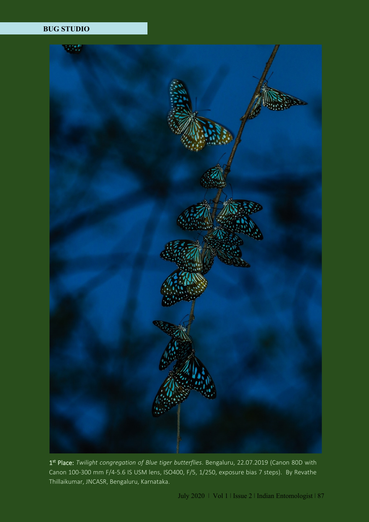## **BUG STUDIO**



1 st Place: *Twilight congregation of Blue tiger butterflies*. Bengaluru, 22.07.2019 (Canon 80D with Canon 100-300 mm F/4-5.6 IS USM lens, ISO400, F/5, 1/250, exposure bias 7 steps). By Revathe Thillaikumar, JNCASR, Bengaluru, Karnataka.